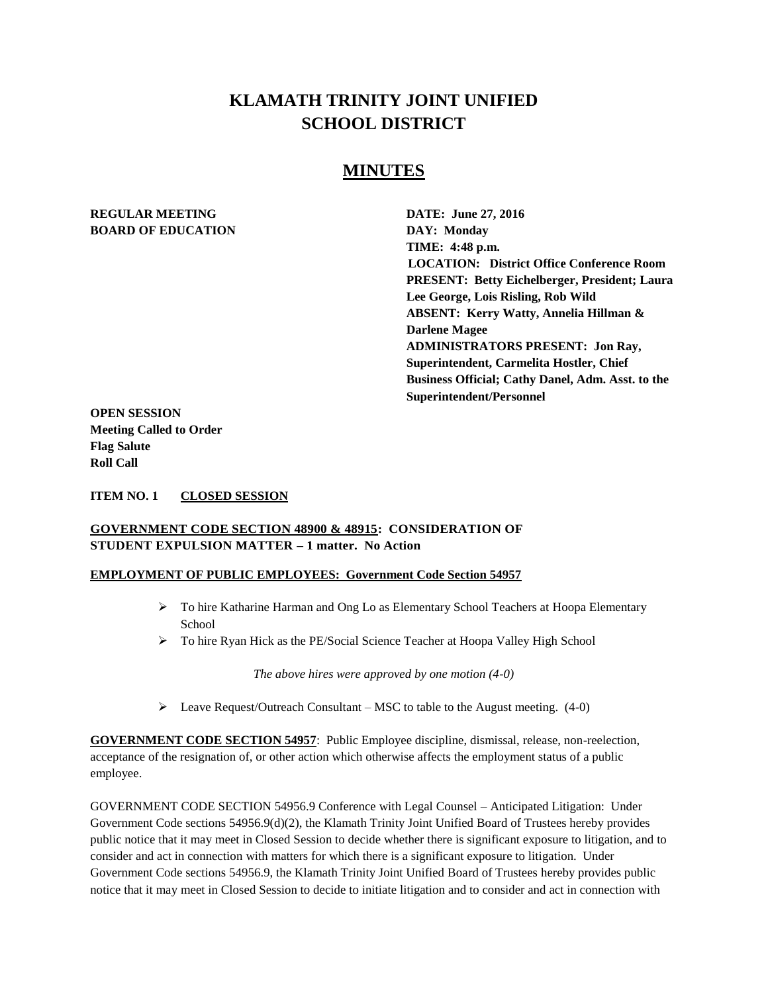# **KLAMATH TRINITY JOINT UNIFIED SCHOOL DISTRICT**

## **MINUTES**

#### **REGULAR MEETING DATE: June 27, 2016 BOARD OF EDUCATION** DAY: Monday

**TIME: 4:48 p.m. LOCATION: District Office Conference Room PRESENT: Betty Eichelberger, President; Laura Lee George, Lois Risling, Rob Wild ABSENT: Kerry Watty, Annelia Hillman & Darlene Magee ADMINISTRATORS PRESENT: Jon Ray, Superintendent, Carmelita Hostler, Chief Business Official; Cathy Danel, Adm. Asst. to the Superintendent/Personnel** 

**OPEN SESSION Meeting Called to Order Flag Salute Roll Call**

**ITEM NO. 1 CLOSED SESSION**

#### **GOVERNMENT CODE SECTION 48900 & 48915: CONSIDERATION OF STUDENT EXPULSION MATTER – 1 matter. No Action**

#### **EMPLOYMENT OF PUBLIC EMPLOYEES: Government Code Section 54957**

- To hire Katharine Harman and Ong Lo as Elementary School Teachers at Hoopa Elementary **School**
- > To hire Ryan Hick as the PE/Social Science Teacher at Hoopa Valley High School

*The above hires were approved by one motion (4-0)*

Eeave Request/Outreach Consultant – MSC to table to the August meeting.  $(4-0)$ 

**GOVERNMENT CODE SECTION 54957**: Public Employee discipline, dismissal, release, non-reelection, acceptance of the resignation of, or other action which otherwise affects the employment status of a public employee.

GOVERNMENT CODE SECTION 54956.9 Conference with Legal Counsel – Anticipated Litigation: Under Government Code sections 54956.9(d)(2), the Klamath Trinity Joint Unified Board of Trustees hereby provides public notice that it may meet in Closed Session to decide whether there is significant exposure to litigation, and to consider and act in connection with matters for which there is a significant exposure to litigation. Under Government Code sections 54956.9, the Klamath Trinity Joint Unified Board of Trustees hereby provides public notice that it may meet in Closed Session to decide to initiate litigation and to consider and act in connection with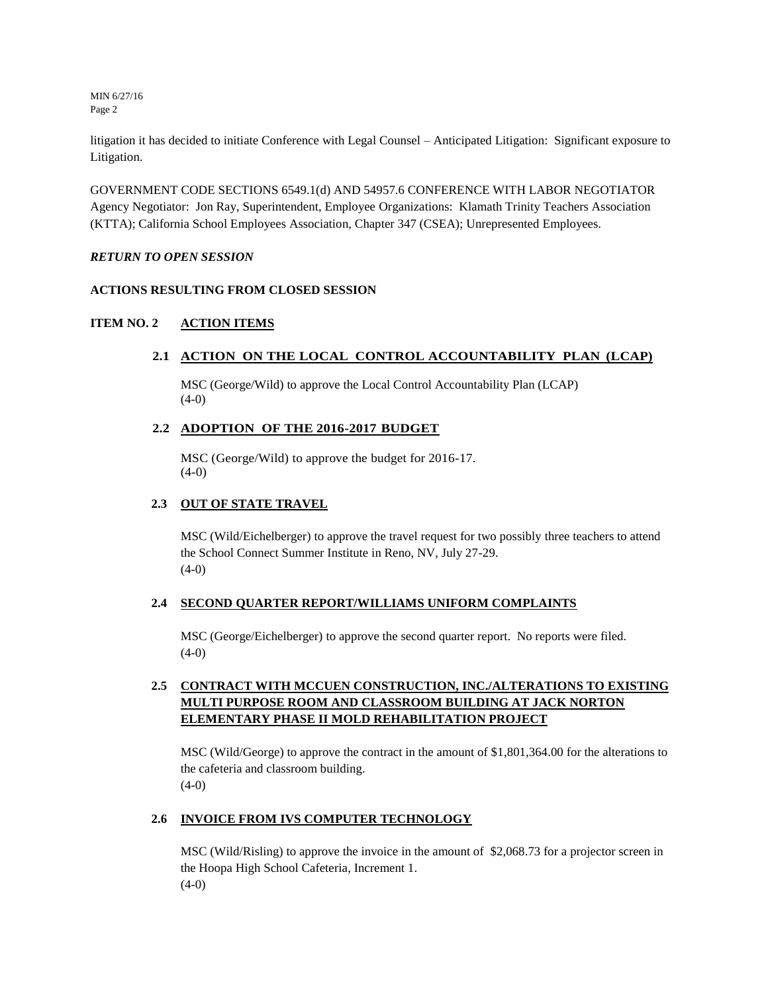MIN 6/27/16 Page 2

litigation it has decided to initiate Conference with Legal Counsel – Anticipated Litigation: Significant exposure to Litigation.

GOVERNMENT CODE SECTIONS 6549.1(d) AND 54957.6 CONFERENCE WITH LABOR NEGOTIATOR Agency Negotiator: Jon Ray, Superintendent, Employee Organizations: Klamath Trinity Teachers Association (KTTA); California School Employees Association, Chapter 347 (CSEA); Unrepresented Employees.

#### *RETURN TO OPEN SESSION*

#### **ACTIONS RESULTING FROM CLOSED SESSION**

#### **ITEM NO. 2 ACTION ITEMS**

#### **2.1 ACTION ON THE LOCAL CONTROL ACCOUNTABILITY PLAN (LCAP)**

MSC (George/Wild) to approve the Local Control Accountability Plan (LCAP) (4-0)

#### **2.2 ADOPTION OF THE 2016-2017 BUDGET**

MSC (George/Wild) to approve the budget for 2016-17.  $(4-0)$ 

#### **2.3 OUT OF STATE TRAVEL**

MSC (Wild/Eichelberger) to approve the travel request for two possibly three teachers to attend the School Connect Summer Institute in Reno, NV, July 27-29.  $(4-0)$ 

#### **2.4 SECOND QUARTER REPORT/WILLIAMS UNIFORM COMPLAINTS**

MSC (George/Eichelberger) to approve the second quarter report. No reports were filed.  $(4-0)$ 

### **2.5 CONTRACT WITH MCCUEN CONSTRUCTION, INC./ALTERATIONS TO EXISTING MULTI PURPOSE ROOM AND CLASSROOM BUILDING AT JACK NORTON ELEMENTARY PHASE II MOLD REHABILITATION PROJECT**

MSC (Wild/George) to approve the contract in the amount of \$1,801,364.00 for the alterations to the cafeteria and classroom building. (4-0)

#### **2.6 INVOICE FROM IVS COMPUTER TECHNOLOGY**

MSC (Wild/Risling) to approve the invoice in the amount of \$2,068.73 for a projector screen in the Hoopa High School Cafeteria, Increment 1.  $(4-0)$